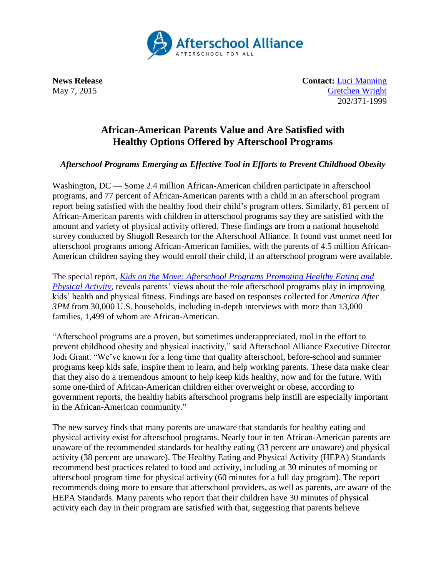

**News Release Contact:** [Luci Manning](mailto:luci@prsolutionsdc.com) May 7, 2015 [Gretchen Wright](mailto:gretchen@prsolutionsdc.com) 202/371-1999

## **African-American Parents Value and Are Satisfied with Healthy Options Offered by Afterschool Programs**

## *Afterschool Programs Emerging as Effective Tool in Efforts to Prevent Childhood Obesity*

Washington, DC — Some 2.4 million African-American children participate in afterschool programs, and 77 percent of African-American parents with a child in an afterschool program report being satisfied with the healthy food their child's program offers. Similarly, 81 percent of African-American parents with children in afterschool programs say they are satisfied with the amount and variety of physical activity offered. These findings are from a national household survey conducted by Shugoll Research for the Afterschool Alliance. It found vast unmet need for afterschool programs among African-American families, with the parents of 4.5 million African-American children saying they would enroll their child, if an afterschool program were available.

The special report, *[Kids on the Move: Afterschool Programs Promoting Healthy Eating and](http://www.afterschoolalliance.org/AA3PM/Kids_on_the_Move.pdf)  [Physical Activity,](http://www.afterschoolalliance.org/AA3PM/Kids_on_the_Move.pdf)* reveals parents' views about the role afterschool programs play in improving kids' health and physical fitness. Findings are based on responses collected for *America After 3PM* from 30,000 U.S. households, including in-depth interviews with more than 13,000 families, 1,499 of whom are African-American.

"Afterschool programs are a proven, but sometimes underappreciated, tool in the effort to prevent childhood obesity and physical inactivity," said Afterschool Alliance Executive Director Jodi Grant. "We've known for a long time that quality afterschool, before-school and summer programs keep kids safe, inspire them to learn, and help working parents. These data make clear that they also do a tremendous amount to help keep kids healthy, now and for the future. With some one-third of African-American children either overweight or obese, according to government reports, the healthy habits afterschool programs help instill are especially important in the African-American community."

The new survey finds that many parents are unaware that standards for healthy eating and physical activity exist for afterschool programs. Nearly four in ten African-American parents are unaware of the recommended standards for healthy eating (33 percent are unaware) and physical activity (38 percent are unaware). The Healthy Eating and Physical Activity (HEPA) Standards recommend best practices related to food and activity, including at 30 minutes of morning or afterschool program time for physical activity (60 minutes for a full day program). The report recommends doing more to ensure that afterschool providers, as well as parents, are aware of the HEPA Standards. Many parents who report that their children have 30 minutes of physical activity each day in their program are satisfied with that, suggesting that parents believe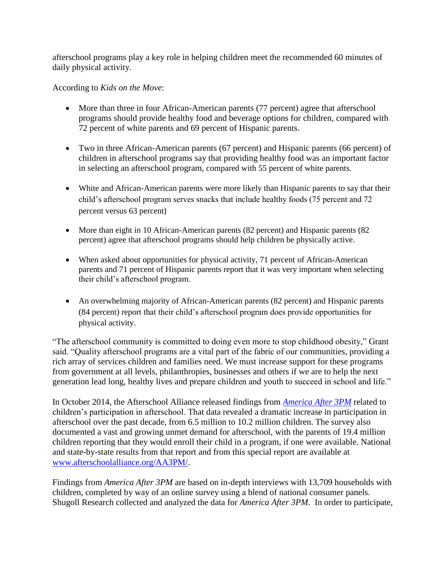afterschool programs play a key role in helping children meet the recommended 60 minutes of daily physical activity.

## According to *Kids on the Move*:

- More than three in four African-American parents (77 percent) agree that afterschool programs should provide healthy food and beverage options for children, compared with 72 percent of white parents and 69 percent of Hispanic parents.
- Two in three African-American parents (67 percent) and Hispanic parents (66 percent) of children in afterschool programs say that providing healthy food was an important factor in selecting an afterschool program, compared with 55 percent of white parents.
- White and African-American parents were more likely than Hispanic parents to say that their child's afterschool program serves snacks that include healthy foods (75 percent and 72 percent versus 63 percent)
- More than eight in 10 African-American parents (82 percent) and Hispanic parents (82 percent) agree that afterschool programs should help children be physically active.
- When asked about opportunities for physical activity, 71 percent of African-American parents and 71 percent of Hispanic parents report that it was very important when selecting their child's afterschool program.
- An overwhelming majority of African-American parents (82 percent) and Hispanic parents (84 percent) report that their child's afterschool program does provide opportunities for physical activity.

"The afterschool community is committed to doing even more to stop childhood obesity," Grant said. "Quality afterschool programs are a vital part of the fabric of our communities, providing a rich array of services children and families need. We must increase support for these programs from government at all levels, philanthropies, businesses and others if we are to help the next generation lead long, healthy lives and prepare children and youth to succeed in school and life."

In October 2014, the Afterschool Alliance released findings from *[America After 3PM](http://www.afterschoolalliance.org/AA3PM/)* related to children's participation in afterschool. That data revealed a dramatic increase in participation in afterschool over the past decade, from 6.5 million to 10.2 million children. The survey also documented a vast and growing unmet demand for afterschool, with the parents of 19.4 million children reporting that they would enroll their child in a program, if one were available. National and state-by-state results from that report and from this special report are available at [www.afterschoolalliance.org/AA3PM/.](http://www.afterschoolalliance.org/AA3PM/)

Findings from *America After 3PM* are based on in-depth interviews with 13,709 households with children, completed by way of an online survey using a blend of national consumer panels. Shugoll Research collected and analyzed the data for *America After 3PM*. In order to participate,